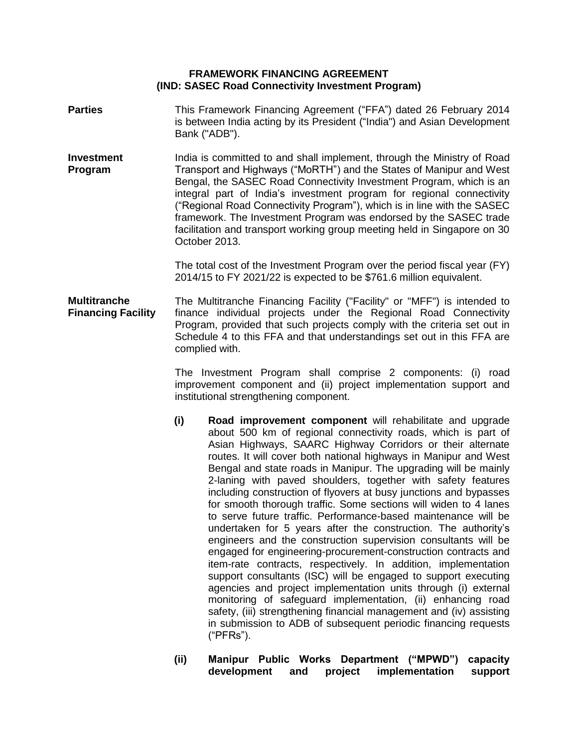### **FRAMEWORK FINANCING AGREEMENT (IND: SASEC Road Connectivity Investment Program)**

- **Parties** This Framework Financing Agreement ("FFA") dated 26 February 2014 is between India acting by its President ("India") and Asian Development Bank ("ADB").
- **Investment Program**  India is committed to and shall implement, through the Ministry of Road Transport and Highways ("MoRTH") and the States of Manipur and West Bengal, the SASEC Road Connectivity Investment Program, which is an integral part of India's investment program for regional connectivity ("Regional Road Connectivity Program"), which is in line with the SASEC framework. The Investment Program was endorsed by the SASEC trade facilitation and transport working group meeting held in Singapore on 30 October 2013.

The total cost of the Investment Program over the period fiscal year (FY) 2014/15 to FY 2021/22 is expected to be \$761.6 million equivalent.

**Multitranche Financing Facility** The Multitranche Financing Facility ("Facility" or "MFF") is intended to finance individual projects under the Regional Road Connectivity Program, provided that such projects comply with the criteria set out in Schedule 4 to this FFA and that understandings set out in this FFA are complied with.

> The Investment Program shall comprise 2 components: (i) road improvement component and (ii) project implementation support and institutional strengthening component.

- **(i) Road improvement component** will rehabilitate and upgrade about 500 km of regional connectivity roads, which is part of Asian Highways, SAARC Highway Corridors or their alternate routes. It will cover both national highways in Manipur and West Bengal and state roads in Manipur. The upgrading will be mainly 2-laning with paved shoulders, together with safety features including construction of flyovers at busy junctions and bypasses for smooth thorough traffic. Some sections will widen to 4 lanes to serve future traffic. Performance-based maintenance will be undertaken for 5 years after the construction. The authority's engineers and the construction supervision consultants will be engaged for engineering-procurement-construction contracts and item-rate contracts, respectively. In addition, implementation support consultants (ISC) will be engaged to support executing agencies and project implementation units through (i) external monitoring of safeguard implementation, (ii) enhancing road safety, (iii) strengthening financial management and (iv) assisting in submission to ADB of subsequent periodic financing requests ("PFRs").
- **(ii) Manipur Public Works Department ("MPWD") capacity development and project implementation support**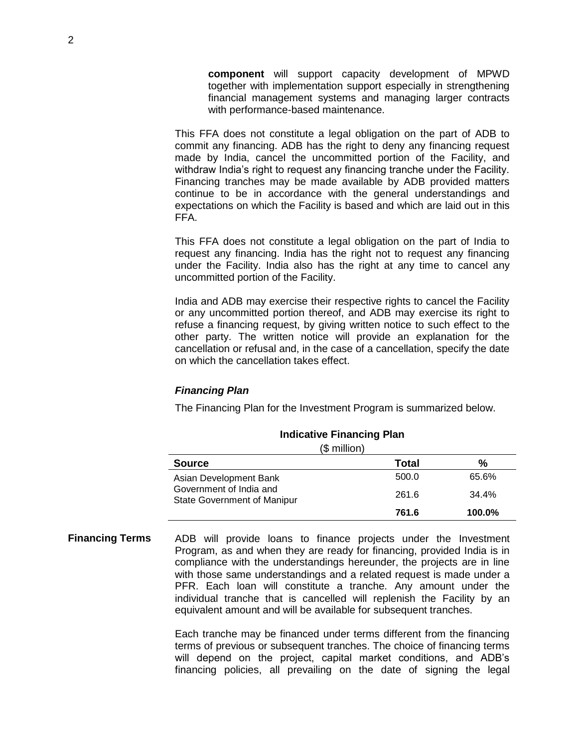**component** will support capacity development of MPWD together with implementation support especially in strengthening financial management systems and managing larger contracts with performance-based maintenance.

This FFA does not constitute a legal obligation on the part of ADB to commit any financing. ADB has the right to deny any financing request made by India, cancel the uncommitted portion of the Facility, and withdraw India's right to request any financing tranche under the Facility. Financing tranches may be made available by ADB provided matters continue to be in accordance with the general understandings and expectations on which the Facility is based and which are laid out in this FFA.

This FFA does not constitute a legal obligation on the part of India to request any financing. India has the right not to request any financing under the Facility. India also has the right at any time to cancel any uncommitted portion of the Facility.

India and ADB may exercise their respective rights to cancel the Facility or any uncommitted portion thereof, and ADB may exercise its right to refuse a financing request, by giving written notice to such effect to the other party. The written notice will provide an explanation for the cancellation or refusal and, in the case of a cancellation, specify the date on which the cancellation takes effect.

### *Financing Plan*

The Financing Plan for the Investment Program is summarized below.

| (\$ million)                                                  |       |        |  |
|---------------------------------------------------------------|-------|--------|--|
| <b>Source</b>                                                 | Total | %      |  |
| Asian Development Bank                                        | 500.0 | 65.6%  |  |
| Government of India and<br><b>State Government of Manipur</b> | 261.6 | 34.4%  |  |
|                                                               | 761.6 | 100.0% |  |

#### **Indicative Financing Plan**

**Financing Terms** ADB will provide loans to finance projects under the Investment Program, as and when they are ready for financing, provided India is in compliance with the understandings hereunder, the projects are in line with those same understandings and a related request is made under a PFR. Each loan will constitute a tranche. Any amount under the individual tranche that is cancelled will replenish the Facility by an equivalent amount and will be available for subsequent tranches.

> Each tranche may be financed under terms different from the financing terms of previous or subsequent tranches. The choice of financing terms will depend on the project, capital market conditions, and ADB's financing policies, all prevailing on the date of signing the legal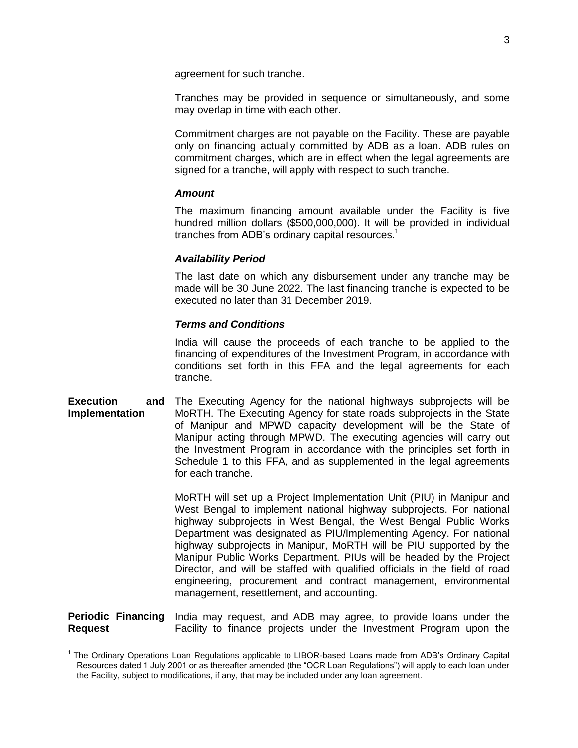agreement for such tranche.

Tranches may be provided in sequence or simultaneously, and some may overlap in time with each other.

Commitment charges are not payable on the Facility. These are payable only on financing actually committed by ADB as a loan. ADB rules on commitment charges, which are in effect when the legal agreements are signed for a tranche, will apply with respect to such tranche.

#### *Amount*

The maximum financing amount available under the Facility is five hundred million dollars (\$500,000,000). It will be provided in individual tranches from ADB's ordinary capital resources. $<sup>1</sup>$ </sup>

#### *Availability Period*

The last date on which any disbursement under any tranche may be made will be 30 June 2022. The last financing tranche is expected to be executed no later than 31 December 2019.

#### *Terms and Conditions*

India will cause the proceeds of each tranche to be applied to the financing of expenditures of the Investment Program, in accordance with conditions set forth in this FFA and the legal agreements for each tranche.

**Execution and Implementation** The Executing Agency for the national highways subprojects will be MoRTH. The Executing Agency for state roads subprojects in the State of Manipur and MPWD capacity development will be the State of Manipur acting through MPWD. The executing agencies will carry out the Investment Program in accordance with the principles set forth in Schedule 1 to this FFA, and as supplemented in the legal agreements for each tranche.

> MoRTH will set up a Project Implementation Unit (PIU) in Manipur and West Bengal to implement national highway subprojects. For national highway subprojects in West Bengal, the West Bengal Public Works Department was designated as PIU/Implementing Agency. For national highway subprojects in Manipur, MoRTH will be PIU supported by the Manipur Public Works Department. PIUs will be headed by the Project Director, and will be staffed with qualified officials in the field of road engineering, procurement and contract management, environmental management, resettlement, and accounting.

**Periodic Financing Request** India may request, and ADB may agree, to provide loans under the Facility to finance projects under the Investment Program upon the

<sup>&</sup>lt;sup>1</sup> The Ordinary Operations Loan Regulations applicable to LIBOR-based Loans made from ADB's Ordinary Capital Resources dated 1 July 2001 or as thereafter amended (the "OCR Loan Regulations") will apply to each loan under the Facility, subject to modifications, if any, that may be included under any loan agreement.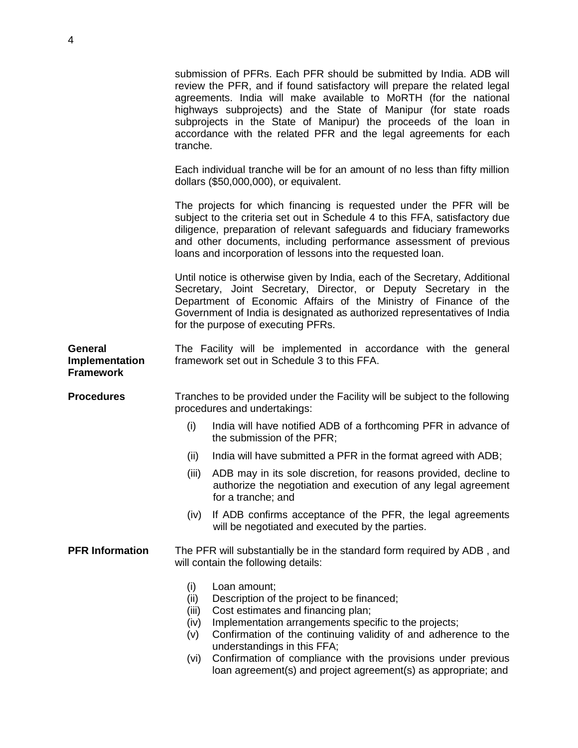|                                                      | submission of PFRs. Each PFR should be submitted by India. ADB will<br>review the PFR, and if found satisfactory will prepare the related legal<br>agreements. India will make available to MoRTH (for the national<br>highways subprojects) and the State of Manipur (for state roads<br>subprojects in the State of Manipur) the proceeds of the loan in<br>accordance with the related PFR and the legal agreements for each<br>tranche.   |
|------------------------------------------------------|-----------------------------------------------------------------------------------------------------------------------------------------------------------------------------------------------------------------------------------------------------------------------------------------------------------------------------------------------------------------------------------------------------------------------------------------------|
|                                                      | Each individual tranche will be for an amount of no less than fifty million<br>dollars (\$50,000,000), or equivalent.                                                                                                                                                                                                                                                                                                                         |
|                                                      | The projects for which financing is requested under the PFR will be<br>subject to the criteria set out in Schedule 4 to this FFA, satisfactory due<br>diligence, preparation of relevant safeguards and fiduciary frameworks<br>and other documents, including performance assessment of previous<br>loans and incorporation of lessons into the requested loan.                                                                              |
|                                                      | Until notice is otherwise given by India, each of the Secretary, Additional<br>Secretary, Joint Secretary, Director, or Deputy Secretary in the<br>Department of Economic Affairs of the Ministry of Finance of the<br>Government of India is designated as authorized representatives of India<br>for the purpose of executing PFRs.                                                                                                         |
| <b>General</b><br>Implementation<br><b>Framework</b> | The Facility will be implemented in accordance with the general<br>framework set out in Schedule 3 to this FFA.                                                                                                                                                                                                                                                                                                                               |
| <b>Procedures</b>                                    | Tranches to be provided under the Facility will be subject to the following<br>procedures and undertakings:                                                                                                                                                                                                                                                                                                                                   |
|                                                      | (i)<br>India will have notified ADB of a forthcoming PFR in advance of<br>the submission of the PFR;                                                                                                                                                                                                                                                                                                                                          |
|                                                      | (ii)<br>India will have submitted a PFR in the format agreed with ADB;                                                                                                                                                                                                                                                                                                                                                                        |
|                                                      | ADB may in its sole discretion, for reasons provided, decline to<br>(iii)<br>authorize the negotiation and execution of any legal agreement<br>for a tranche; and                                                                                                                                                                                                                                                                             |
|                                                      | If ADB confirms acceptance of the PFR, the legal agreements<br>(iv)<br>will be negotiated and executed by the parties.                                                                                                                                                                                                                                                                                                                        |
| <b>PFR Information</b>                               | The PFR will substantially be in the standard form required by ADB, and<br>will contain the following details:                                                                                                                                                                                                                                                                                                                                |
|                                                      | (i)<br>Loan amount;<br>(ii)<br>Description of the project to be financed;<br>Cost estimates and financing plan;<br>(iii)<br>Implementation arrangements specific to the projects;<br>(iv)<br>Confirmation of the continuing validity of and adherence to the<br>(V)<br>understandings in this FFA;<br>Confirmation of compliance with the provisions under previous<br>(vi)<br>loan agreement(s) and project agreement(s) as appropriate; and |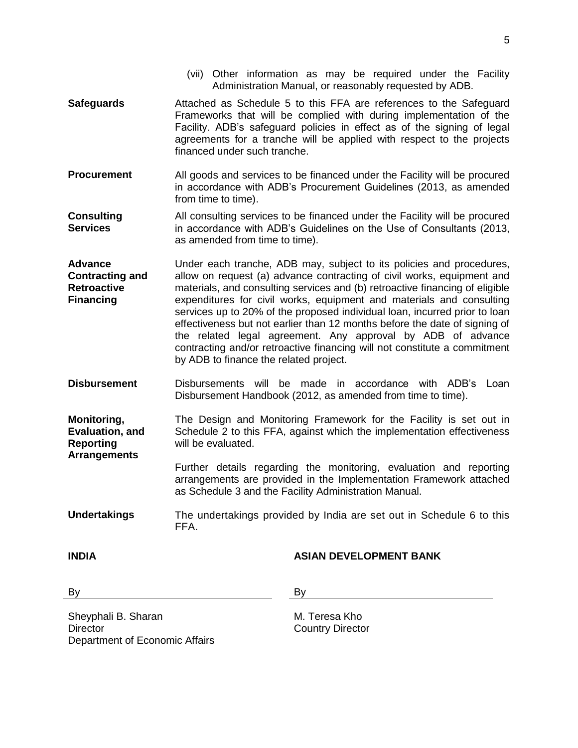- financed under such tranche. from time to time). **Consulting Services** as amended from time to time). **Advance Contracting and Retroactive Financing** by ADB to finance the related project. Disbursement Handbook (2012, as amended from time to time). **Monitoring, Evaluation, and Reporting Arrangements**  will be evaluated. as Schedule 3 and the Facility Administration Manual. **Undertakings** The undertakings provided by India are set out in Schedule 6 to this
	- FFA.

## **INDIA ASIAN DEVELOPMENT BANK**

By By the contract of the By By the contract of the By

Sheyphali B. Sharan **Director** Department of Economic Affairs

M. Teresa Kho Country Director

- (vii) Other information as may be required under the Facility Administration Manual, or reasonably requested by ADB.
- **Safeguards** Attached as Schedule 5 to this FFA are references to the Safeguard Frameworks that will be complied with during implementation of the Facility. ADB's safeguard policies in effect as of the signing of legal agreements for a tranche will be applied with respect to the projects
- **Procurement** All goods and services to be financed under the Facility will be procured in accordance with ADB's Procurement Guidelines (2013, as amended

All consulting services to be financed under the Facility will be procured in accordance with ADB's Guidelines on the Use of Consultants (2013,

- Under each tranche, ADB may, subject to its policies and procedures, allow on request (a) advance contracting of civil works, equipment and materials, and consulting services and (b) retroactive financing of eligible expenditures for civil works, equipment and materials and consulting services up to 20% of the proposed individual loan, incurred prior to loan effectiveness but not earlier than 12 months before the date of signing of the related legal agreement. Any approval by ADB of advance contracting and/or retroactive financing will not constitute a commitment
- **Disbursement** Disbursements will be made in accordance with ADB's Loan

The Design and Monitoring Framework for the Facility is set out in Schedule 2 to this FFA, against which the implementation effectiveness

> Further details regarding the monitoring, evaluation and reporting arrangements are provided in the Implementation Framework attached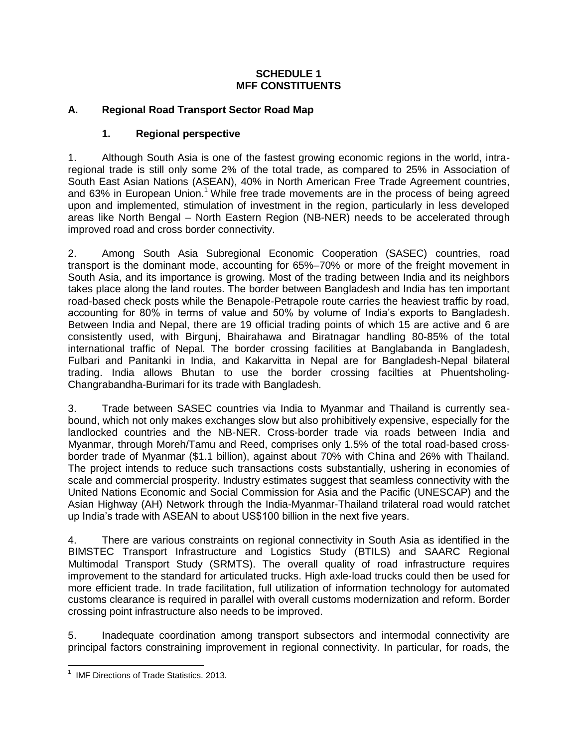## **SCHEDULE 1 MFF CONSTITUENTS**

## **A. Regional Road Transport Sector Road Map**

## **1. Regional perspective**

1. Although South Asia is one of the fastest growing economic regions in the world, intraregional trade is still only some 2% of the total trade, as compared to 25% in Association of South East Asian Nations (ASEAN), 40% in North American Free Trade Agreement countries, and 63% in European Union.<sup>1</sup> While free trade movements are in the process of being agreed upon and implemented, stimulation of investment in the region, particularly in less developed areas like North Bengal – North Eastern Region (NB-NER) needs to be accelerated through improved road and cross border connectivity.

2. Among South Asia Subregional Economic Cooperation (SASEC) countries, road transport is the dominant mode, accounting for 65%–70% or more of the freight movement in South Asia, and its importance is growing. Most of the trading between India and its neighbors takes place along the land routes. The border between Bangladesh and India has ten important road-based check posts while the Benapole-Petrapole route carries the heaviest traffic by road, accounting for 80% in terms of value and 50% by volume of India's exports to Bangladesh. Between India and Nepal, there are 19 official trading points of which 15 are active and 6 are consistently used, with Birgunj, Bhairahawa and Biratnagar handling 80-85% of the total international traffic of Nepal. The border crossing facilities at Banglabanda in Bangladesh, Fulbari and Panitanki in India, and Kakarvitta in Nepal are for Bangladesh-Nepal bilateral trading. India allows Bhutan to use the border crossing facilties at Phuentsholing-Changrabandha-Burimari for its trade with Bangladesh.

3. Trade between SASEC countries via India to Myanmar and Thailand is currently seabound, which not only makes exchanges slow but also prohibitively expensive, especially for the landlocked countries and the NB-NER. Cross-border trade via roads between India and Myanmar, through Moreh/Tamu and Reed, comprises only 1.5% of the total road-based crossborder trade of Myanmar (\$1.1 billion), against about 70% with China and 26% with Thailand. The project intends to reduce such transactions costs substantially, ushering in economies of scale and commercial prosperity. Industry estimates suggest that seamless connectivity with the United Nations Economic and Social Commission for Asia and the Pacific (UNESCAP) and the Asian Highway (AH) Network through the India-Myanmar-Thailand trilateral road would ratchet up India's trade with ASEAN to about US\$100 billion in the next five years.

4. There are various constraints on regional connectivity in South Asia as identified in the BIMSTEC Transport Infrastructure and Logistics Study (BTILS) and SAARC Regional Multimodal Transport Study (SRMTS). The overall quality of road infrastructure requires improvement to the standard for articulated trucks. High axle-load trucks could then be used for more efficient trade. In trade facilitation, full utilization of information technology for automated customs clearance is required in parallel with overall customs modernization and reform. Border crossing point infrastructure also needs to be improved.

5. Inadequate coordination among transport subsectors and intermodal connectivity are principal factors constraining improvement in regional connectivity. In particular, for roads, the

 1 IMF Directions of Trade Statistics. 2013.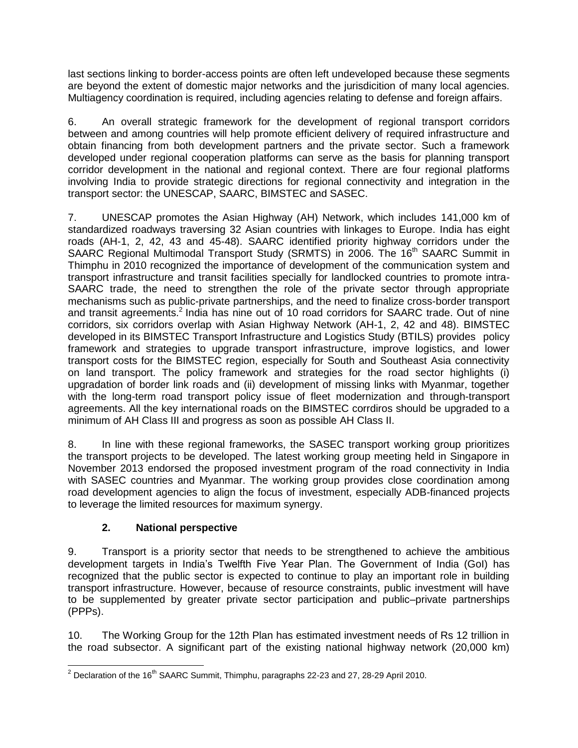last sections linking to border-access points are often left undeveloped because these segments are beyond the extent of domestic major networks and the jurisdicition of many local agencies. Multiagency coordination is required, including agencies relating to defense and foreign affairs.

6. An overall strategic framework for the development of regional transport corridors between and among countries will help promote efficient delivery of required infrastructure and obtain financing from both development partners and the private sector. Such a framework developed under regional cooperation platforms can serve as the basis for planning transport corridor development in the national and regional context. There are four regional platforms involving India to provide strategic directions for regional connectivity and integration in the transport sector: the UNESCAP, SAARC, BIMSTEC and SASEC.

7. UNESCAP promotes the Asian Highway (AH) Network, which includes 141,000 km of standardized roadways traversing 32 Asian countries with linkages to Europe. India has eight roads (AH-1, 2, 42, 43 and 45-48). SAARC identified priority highway corridors under the SAARC Regional Multimodal Transport Study (SRMTS) in 2006. The 16<sup>th</sup> SAARC Summit in Thimphu in 2010 recognized the importance of development of the communication system and transport infrastructure and transit facilities specially for landlocked countries to promote intra-SAARC trade, the need to strengthen the role of the private sector through appropriate mechanisms such as public-private partnerships, and the need to finalize cross-border transport and transit agreements.<sup>2</sup> India has nine out of 10 road corridors for SAARC trade. Out of nine corridors, six corridors overlap with Asian Highway Network (AH-1, 2, 42 and 48). BIMSTEC developed in its BIMSTEC Transport Infrastructure and Logistics Study (BTILS) provides policy framework and strategies to upgrade transport infrastructure, improve logistics, and lower transport costs for the BIMSTEC region, especially for South and Southeast Asia connectivity on land transport. The policy framework and strategies for the road sector highlights (i) upgradation of border link roads and (ii) development of missing links with Myanmar, together with the long-term road transport policy issue of fleet modernization and through-transport agreements. All the key international roads on the BIMSTEC corrdiros should be upgraded to a minimum of AH Class III and progress as soon as possible AH Class II.

8. In line with these regional frameworks, the SASEC transport working group prioritizes the transport projects to be developed. The latest working group meeting held in Singapore in November 2013 endorsed the proposed investment program of the road connectivity in India with SASEC countries and Myanmar. The working group provides close coordination among road development agencies to align the focus of investment, especially ADB-financed projects to leverage the limited resources for maximum synergy.

# **2. National perspective**

9. Transport is a priority sector that needs to be strengthened to achieve the ambitious development targets in India's Twelfth Five Year Plan. The Government of India (GoI) has recognized that the public sector is expected to continue to play an important role in building transport infrastructure. However, because of resource constraints, public investment will have to be supplemented by greater private sector participation and public–private partnerships (PPPs).

10. The Working Group for the 12th Plan has estimated investment needs of Rs 12 trillion in the road subsector. A significant part of the existing national highway network (20,000 km)

 <sup>2</sup> Declaration of the 16<sup>th</sup> SAARC Summit, Thimphu, paragraphs 22-23 and 27, 28-29 April 2010.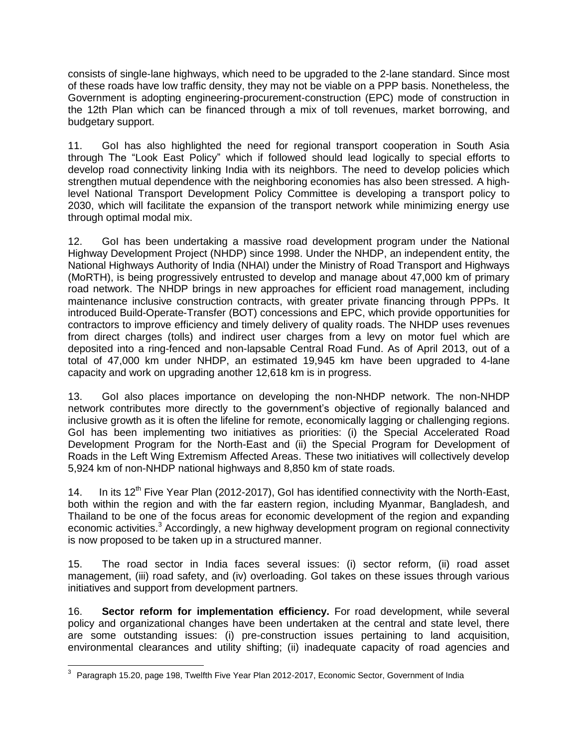consists of single-lane highways, which need to be upgraded to the 2-lane standard. Since most of these roads have low traffic density, they may not be viable on a PPP basis. Nonetheless, the Government is adopting engineering-procurement-construction (EPC) mode of construction in the 12th Plan which can be financed through a mix of toll revenues, market borrowing, and budgetary support.

11. GoI has also highlighted the need for regional transport cooperation in South Asia through The "Look East Policy" which if followed should lead logically to special efforts to develop road connectivity linking India with its neighbors. The need to develop policies which strengthen mutual dependence with the neighboring economies has also been stressed. A highlevel National Transport Development Policy Committee is developing a transport policy to 2030, which will facilitate the expansion of the transport network while minimizing energy use through optimal modal mix.

12. GoI has been undertaking a massive road development program under the National Highway Development Project (NHDP) since 1998. Under the NHDP, an independent entity, the National Highways Authority of India (NHAI) under the Ministry of Road Transport and Highways (MoRTH), is being progressively entrusted to develop and manage about 47,000 km of primary road network. The NHDP brings in new approaches for efficient road management, including maintenance inclusive construction contracts, with greater private financing through PPPs. It introduced Build-Operate-Transfer (BOT) concessions and EPC, which provide opportunities for contractors to improve efficiency and timely delivery of quality roads. The NHDP uses revenues from direct charges (tolls) and indirect user charges from a levy on motor fuel which are deposited into a ring-fenced and non-lapsable Central Road Fund. As of April 2013, out of a total of 47,000 km under NHDP, an estimated 19,945 km have been upgraded to 4-lane capacity and work on upgrading another 12,618 km is in progress.

13. GoI also places importance on developing the non-NHDP network. The non-NHDP network contributes more directly to the government's objective of regionally balanced and inclusive growth as it is often the lifeline for remote, economically lagging or challenging regions. GoI has been implementing two initiatives as priorities: (i) the Special Accelerated Road Development Program for the North-East and (ii) the Special Program for Development of Roads in the Left Wing Extremism Affected Areas. These two initiatives will collectively develop 5,924 km of non-NHDP national highways and 8,850 km of state roads.

14. In its  $12<sup>th</sup>$  Five Year Plan (2012-2017), Gol has identified connectivity with the North-East, both within the region and with the far eastern region, including Myanmar, Bangladesh, and Thailand to be one of the focus areas for economic development of the region and expanding economic activities.<sup>3</sup> Accordingly, a new highway development program on regional connectivity is now proposed to be taken up in a structured manner.

15. The road sector in India faces several issues: (i) sector reform, (ii) road asset management, (iii) road safety, and (iv) overloading. GoI takes on these issues through various initiatives and support from development partners.

16. **Sector reform for implementation efficiency.** For road development, while several policy and organizational changes have been undertaken at the central and state level, there are some outstanding issues: (i) pre-construction issues pertaining to land acquisition, environmental clearances and utility shifting; (ii) inadequate capacity of road agencies and

 3 Paragraph 15.20, page 198, Twelfth Five Year Plan 2012-2017, Economic Sector, Government of India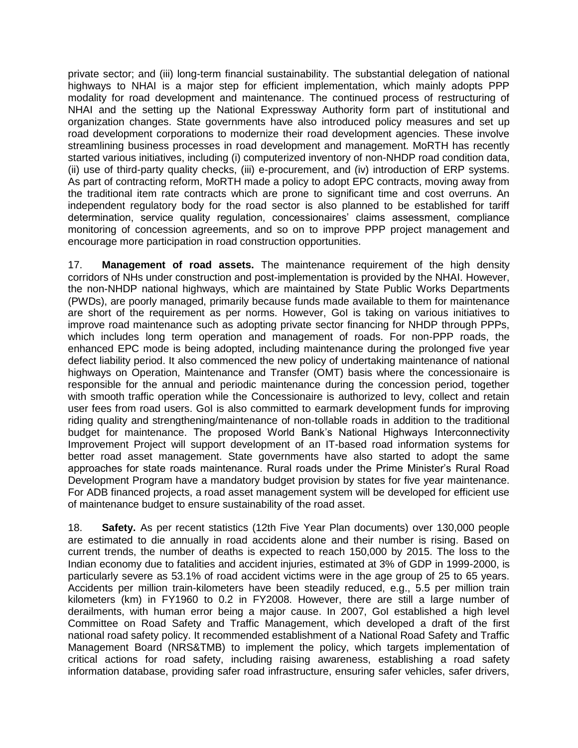private sector; and (iii) long-term financial sustainability. The substantial delegation of national highways to NHAI is a major step for efficient implementation, which mainly adopts PPP modality for road development and maintenance. The continued process of restructuring of NHAI and the setting up the National Expressway Authority form part of institutional and organization changes. State governments have also introduced policy measures and set up road development corporations to modernize their road development agencies. These involve streamlining business processes in road development and management. MoRTH has recently started various initiatives, including (i) computerized inventory of non-NHDP road condition data, (ii) use of third-party quality checks, (iii) e-procurement, and (iv) introduction of ERP systems. As part of contracting reform, MoRTH made a policy to adopt EPC contracts, moving away from the traditional item rate contracts which are prone to significant time and cost overruns. An independent regulatory body for the road sector is also planned to be established for tariff determination, service quality regulation, concessionaires' claims assessment, compliance monitoring of concession agreements, and so on to improve PPP project management and encourage more participation in road construction opportunities.

17. **Management of road assets.** The maintenance requirement of the high density corridors of NHs under construction and post-implementation is provided by the NHAI. However, the non-NHDP national highways, which are maintained by State Public Works Departments (PWDs), are poorly managed, primarily because funds made available to them for maintenance are short of the requirement as per norms. However, GoI is taking on various initiatives to improve road maintenance such as adopting private sector financing for NHDP through PPPs, which includes long term operation and management of roads. For non-PPP roads, the enhanced EPC mode is being adopted, including maintenance during the prolonged five year defect liability period. It also commenced the new policy of undertaking maintenance of national highways on Operation, Maintenance and Transfer (OMT) basis where the concessionaire is responsible for the annual and periodic maintenance during the concession period, together with smooth traffic operation while the Concessionaire is authorized to levy, collect and retain user fees from road users. GoI is also committed to earmark development funds for improving riding quality and strengthening/maintenance of non-tollable roads in addition to the traditional budget for maintenance. The proposed World Bank's National Highways Interconnectivity Improvement Project will support development of an IT-based road information systems for better road asset management. State governments have also started to adopt the same approaches for state roads maintenance. Rural roads under the Prime Minister's Rural Road Development Program have a mandatory budget provision by states for five year maintenance. For ADB financed projects, a road asset management system will be developed for efficient use of maintenance budget to ensure sustainability of the road asset.

18. **Safety.** As per recent statistics (12th Five Year Plan documents) over 130,000 people are estimated to die annually in road accidents alone and their number is rising. Based on current trends, the number of deaths is expected to reach 150,000 by 2015. The loss to the Indian economy due to fatalities and accident injuries, estimated at 3% of GDP in 1999-2000, is particularly severe as 53.1% of road accident victims were in the age group of 25 to 65 years. Accidents per million train-kilometers have been steadily reduced, e.g., 5.5 per million train kilometers (km) in FY1960 to 0.2 in FY2008. However, there are still a large number of derailments, with human error being a major cause. In 2007, GoI established a high level Committee on Road Safety and Traffic Management, which developed a draft of the first national road safety policy. It recommended establishment of a National Road Safety and Traffic Management Board (NRS&TMB) to implement the policy, which targets implementation of critical actions for road safety, including raising awareness, establishing a road safety information database, providing safer road infrastructure, ensuring safer vehicles, safer drivers,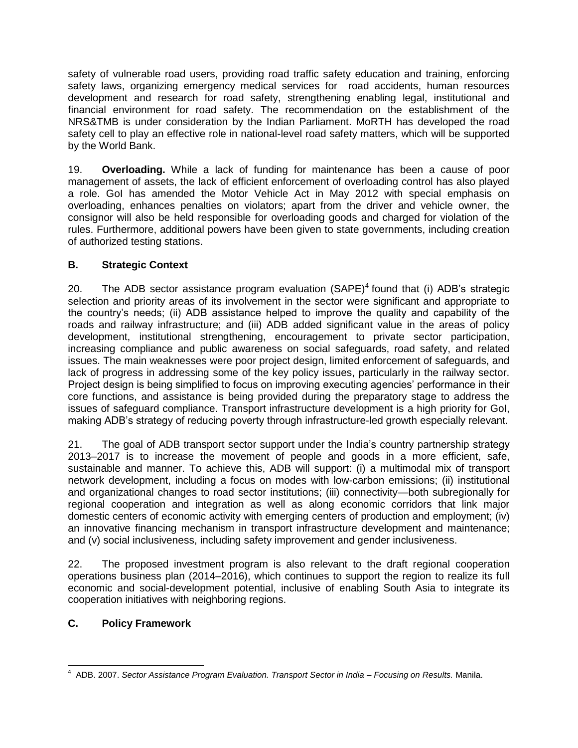safety of vulnerable road users, providing road traffic safety education and training, enforcing safety laws, organizing emergency medical services for road accidents, human resources development and research for road safety, strengthening enabling legal, institutional and financial environment for road safety. The recommendation on the establishment of the NRS&TMB is under consideration by the Indian Parliament. MoRTH has developed the road safety cell to play an effective role in national-level road safety matters, which will be supported by the World Bank.

19. **Overloading.** While a lack of funding for maintenance has been a cause of poor management of assets, the lack of efficient enforcement of overloading control has also played a role. GoI has amended the Motor Vehicle Act in May 2012 with special emphasis on overloading, enhances penalties on violators; apart from the driver and vehicle owner, the consignor will also be held responsible for overloading goods and charged for violation of the rules. Furthermore, additional powers have been given to state governments, including creation of authorized testing stations.

# **B. Strategic Context**

20. The ADB sector assistance program evaluation  $(SAPE)^4$  found that (i) ADB's strategic selection and priority areas of its involvement in the sector were significant and appropriate to the country's needs; (ii) ADB assistance helped to improve the quality and capability of the roads and railway infrastructure; and (iii) ADB added significant value in the areas of policy development, institutional strengthening, encouragement to private sector participation, increasing compliance and public awareness on social safeguards, road safety, and related issues. The main weaknesses were poor project design, limited enforcement of safeguards, and lack of progress in addressing some of the key policy issues, particularly in the railway sector. Project design is being simplified to focus on improving executing agencies' performance in their core functions, and assistance is being provided during the preparatory stage to address the issues of safeguard compliance. Transport infrastructure development is a high priority for GoI, making ADB's strategy of reducing poverty through infrastructure-led growth especially relevant.

21. The goal of ADB transport sector support under the India's country partnership strategy 2013–2017 is to increase the movement of people and goods in a more efficient, safe, sustainable and manner. To achieve this, ADB will support: (i) a multimodal mix of transport network development, including a focus on modes with low-carbon emissions; (ii) institutional and organizational changes to road sector institutions; (iii) connectivity—both subregionally for regional cooperation and integration as well as along economic corridors that link major domestic centers of economic activity with emerging centers of production and employment; (iv) an innovative financing mechanism in transport infrastructure development and maintenance; and (v) social inclusiveness, including safety improvement and gender inclusiveness.

22. The proposed investment program is also relevant to the draft regional cooperation operations business plan (2014–2016), which continues to support the region to realize its full economic and social-development potential, inclusive of enabling South Asia to integrate its cooperation initiatives with neighboring regions.

# **C. Policy Framework**

 4 ADB. 2007. *Sector Assistance Program Evaluation. Transport Sector in India – Focusing on Results.* Manila.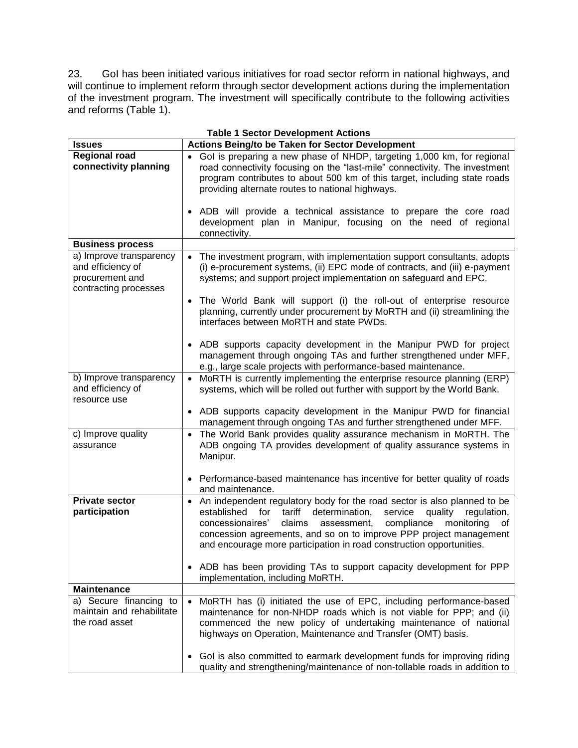23. GoI has been initiated various initiatives for road sector reform in national highways, and will continue to implement reform through sector development actions during the implementation of the investment program. The investment will specifically contribute to the following activities and reforms (Table 1).

| <b>Table 1 Sector Development Actions</b>                                                |                                                                                                                                                                                                                                                                                                                                                                                                           |  |  |
|------------------------------------------------------------------------------------------|-----------------------------------------------------------------------------------------------------------------------------------------------------------------------------------------------------------------------------------------------------------------------------------------------------------------------------------------------------------------------------------------------------------|--|--|
| <b>Issues</b>                                                                            | Actions Being/to be Taken for Sector Development                                                                                                                                                                                                                                                                                                                                                          |  |  |
| <b>Regional road</b><br>connectivity planning                                            | Gol is preparing a new phase of NHDP, targeting 1,000 km, for regional<br>road connectivity focusing on the "last-mile" connectivity. The investment<br>program contributes to about 500 km of this target, including state roads<br>providing alternate routes to national highways.                                                                                                                     |  |  |
|                                                                                          | ADB will provide a technical assistance to prepare the core road<br>$\bullet$<br>development plan in Manipur, focusing on the need of regional<br>connectivity.                                                                                                                                                                                                                                           |  |  |
| <b>Business process</b>                                                                  |                                                                                                                                                                                                                                                                                                                                                                                                           |  |  |
| a) Improve transparency<br>and efficiency of<br>procurement and<br>contracting processes | The investment program, with implementation support consultants, adopts<br>(i) e-procurement systems, (ii) EPC mode of contracts, and (iii) e-payment<br>systems; and support project implementation on safeguard and EPC.                                                                                                                                                                                |  |  |
|                                                                                          | The World Bank will support (i) the roll-out of enterprise resource<br>$\bullet$<br>planning, currently under procurement by MoRTH and (ii) streamlining the<br>interfaces between MoRTH and state PWDs.                                                                                                                                                                                                  |  |  |
|                                                                                          | • ADB supports capacity development in the Manipur PWD for project<br>management through ongoing TAs and further strengthened under MFF,<br>e.g., large scale projects with performance-based maintenance.                                                                                                                                                                                                |  |  |
| b) Improve transparency<br>and efficiency of<br>resource use                             | MoRTH is currently implementing the enterprise resource planning (ERP)<br>$\bullet$<br>systems, which will be rolled out further with support by the World Bank.                                                                                                                                                                                                                                          |  |  |
|                                                                                          | ADB supports capacity development in the Manipur PWD for financial<br>management through ongoing TAs and further strengthened under MFF.                                                                                                                                                                                                                                                                  |  |  |
| c) Improve quality<br>assurance                                                          | The World Bank provides quality assurance mechanism in MoRTH. The<br>$\bullet$<br>ADB ongoing TA provides development of quality assurance systems in<br>Manipur.                                                                                                                                                                                                                                         |  |  |
|                                                                                          | Performance-based maintenance has incentive for better quality of roads<br>$\bullet$<br>and maintenance.                                                                                                                                                                                                                                                                                                  |  |  |
| <b>Private sector</b><br>participation                                                   | An independent regulatory body for the road sector is also planned to be<br>$\bullet$<br>tariff<br>determination,<br>service<br>established<br>for<br>quality<br>regulation,<br>claims<br>assessment,<br>compliance<br>monitoring<br>concessionaires'<br>of<br>concession agreements, and so on to improve PPP project management<br>and encourage more participation in road construction opportunities. |  |  |
|                                                                                          | • ADB has been providing TAs to support capacity development for PPP<br>implementation, including MoRTH.                                                                                                                                                                                                                                                                                                  |  |  |
| <b>Maintenance</b>                                                                       |                                                                                                                                                                                                                                                                                                                                                                                                           |  |  |
| a) Secure financing to<br>maintain and rehabilitate<br>the road asset                    | MoRTH has (i) initiated the use of EPC, including performance-based<br>$\bullet$<br>maintenance for non-NHDP roads which is not viable for PPP; and (ii)<br>commenced the new policy of undertaking maintenance of national<br>highways on Operation, Maintenance and Transfer (OMT) basis.                                                                                                               |  |  |
|                                                                                          | Gol is also committed to earmark development funds for improving riding<br>quality and strengthening/maintenance of non-tollable roads in addition to                                                                                                                                                                                                                                                     |  |  |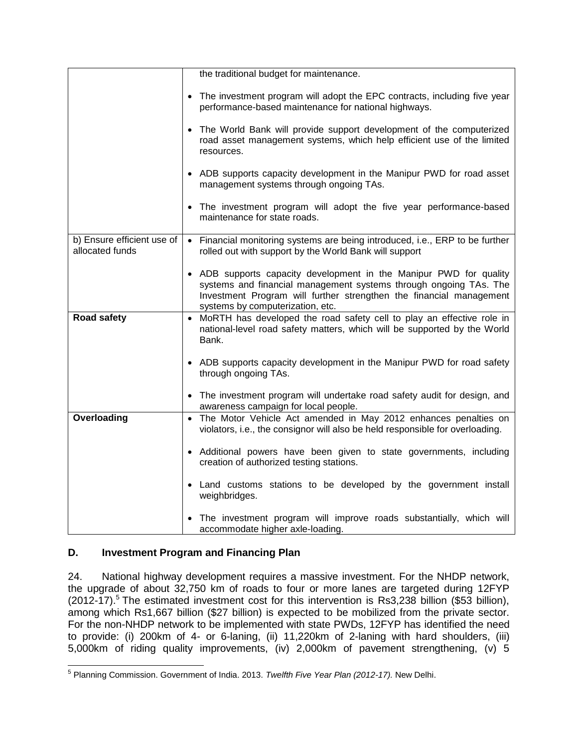|                                               | the traditional budget for maintenance.                                                                                                                                                                                                            |
|-----------------------------------------------|----------------------------------------------------------------------------------------------------------------------------------------------------------------------------------------------------------------------------------------------------|
|                                               | • The investment program will adopt the EPC contracts, including five year<br>performance-based maintenance for national highways.                                                                                                                 |
|                                               | The World Bank will provide support development of the computerized<br>$\bullet$<br>road asset management systems, which help efficient use of the limited<br>resources.                                                                           |
|                                               | • ADB supports capacity development in the Manipur PWD for road asset<br>management systems through ongoing TAs.                                                                                                                                   |
|                                               | • The investment program will adopt the five year performance-based<br>maintenance for state roads.                                                                                                                                                |
| b) Ensure efficient use of<br>allocated funds | • Financial monitoring systems are being introduced, i.e., ERP to be further<br>rolled out with support by the World Bank will support                                                                                                             |
|                                               | • ADB supports capacity development in the Manipur PWD for quality<br>systems and financial management systems through ongoing TAs. The<br>Investment Program will further strengthen the financial management<br>systems by computerization, etc. |
| Road safety                                   | • MoRTH has developed the road safety cell to play an effective role in<br>national-level road safety matters, which will be supported by the World<br>Bank.                                                                                       |
|                                               | • ADB supports capacity development in the Manipur PWD for road safety<br>through ongoing TAs.                                                                                                                                                     |
|                                               | • The investment program will undertake road safety audit for design, and<br>awareness campaign for local people.                                                                                                                                  |
| Overloading                                   | • The Motor Vehicle Act amended in May 2012 enhances penalties on<br>violators, i.e., the consignor will also be held responsible for overloading.                                                                                                 |
|                                               | • Additional powers have been given to state governments, including<br>creation of authorized testing stations.                                                                                                                                    |
|                                               | • Land customs stations to be developed by the government install<br>weighbridges.                                                                                                                                                                 |
|                                               | The investment program will improve roads substantially, which will<br>accommodate higher axle-loading.                                                                                                                                            |

# **D. Investment Program and Financing Plan**

24. National highway development requires a massive investment. For the NHDP network, the upgrade of about 32,750 km of roads to four or more lanes are targeted during 12FYP  $(2012-17)$ .<sup>5</sup> The estimated investment cost for this intervention is Rs3,238 billion (\$53 billion), among which Rs1,667 billion (\$27 billion) is expected to be mobilized from the private sector. For the non-NHDP network to be implemented with state PWDs, 12FYP has identified the need to provide: (i) 200km of 4- or 6-laning, (ii) 11,220km of 2-laning with hard shoulders, (iii) 5,000km of riding quality improvements, (iv) 2,000km of pavement strengthening, (v) 5

 5 Planning Commission. Government of India. 2013. *Twelfth Five Year Plan (2012-17).* New Delhi.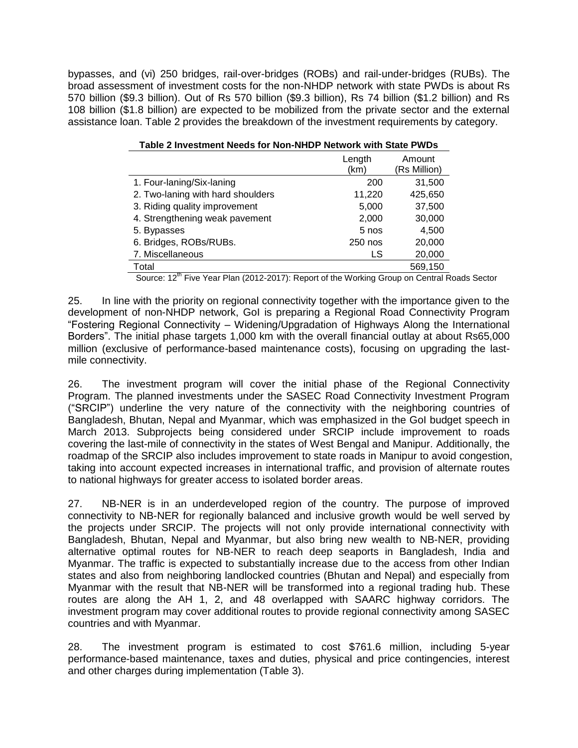bypasses, and (vi) 250 bridges, rail-over-bridges (ROBs) and rail-under-bridges (RUBs). The broad assessment of investment costs for the non-NHDP network with state PWDs is about Rs 570 billion (\$9.3 billion). Out of Rs 570 billion (\$9.3 billion), Rs 74 billion (\$1.2 billion) and Rs 108 billion (\$1.8 billion) are expected to be mobilized from the private sector and the external assistance loan. Table 2 provides the breakdown of the investment requirements by category.

|                                   | Length<br>(km) | Amount<br>(Rs Million) |
|-----------------------------------|----------------|------------------------|
| 1. Four-laning/Six-laning         | 200            | 31,500                 |
| 2. Two-laning with hard shoulders | 11,220         | 425,650                |
| 3. Riding quality improvement     | 5,000          | 37,500                 |
| 4. Strengthening weak pavement    | 2,000          | 30,000                 |
| 5. Bypasses                       | 5 nos          | 4,500                  |
| 6. Bridges, ROBs/RUBs.            | 250 nos        | 20,000                 |
| 7. Miscellaneous                  | LS             | 20,000                 |
| Total<br>$. -$ th $-$             |                | 569,150                |

Source:  $12^{th}$  Five Year Plan (2012-2017): Report of the Working Group on Central Roads Sector

25. In line with the priority on regional connectivity together with the importance given to the development of non-NHDP network, GoI is preparing a Regional Road Connectivity Program "Fostering Regional Connectivity – Widening/Upgradation of Highways Along the International Borders". The initial phase targets 1,000 km with the overall financial outlay at about Rs65,000 million (exclusive of performance-based maintenance costs), focusing on upgrading the lastmile connectivity.

26. The investment program will cover the initial phase of the Regional Connectivity Program. The planned investments under the SASEC Road Connectivity Investment Program ("SRCIP") underline the very nature of the connectivity with the neighboring countries of Bangladesh, Bhutan, Nepal and Myanmar, which was emphasized in the GoI budget speech in March 2013. Subprojects being considered under SRCIP include improvement to roads covering the last-mile of connectivity in the states of West Bengal and Manipur. Additionally, the roadmap of the SRCIP also includes improvement to state roads in Manipur to avoid congestion, taking into account expected increases in international traffic, and provision of alternate routes to national highways for greater access to isolated border areas.

27. NB-NER is in an underdeveloped region of the country. The purpose of improved connectivity to NB-NER for regionally balanced and inclusive growth would be well served by the projects under SRCIP. The projects will not only provide international connectivity with Bangladesh, Bhutan, Nepal and Myanmar, but also bring new wealth to NB-NER, providing alternative optimal routes for NB-NER to reach deep seaports in Bangladesh, India and Myanmar. The traffic is expected to substantially increase due to the access from other Indian states and also from neighboring landlocked countries (Bhutan and Nepal) and especially from Myanmar with the result that NB-NER will be transformed into a regional trading hub. These routes are along the AH 1, 2, and 48 overlapped with SAARC highway corridors. The investment program may cover additional routes to provide regional connectivity among SASEC countries and with Myanmar.

28. The investment program is estimated to cost \$761.6 million, including 5-year performance-based maintenance, taxes and duties, physical and price contingencies, interest and other charges during implementation (Table 3).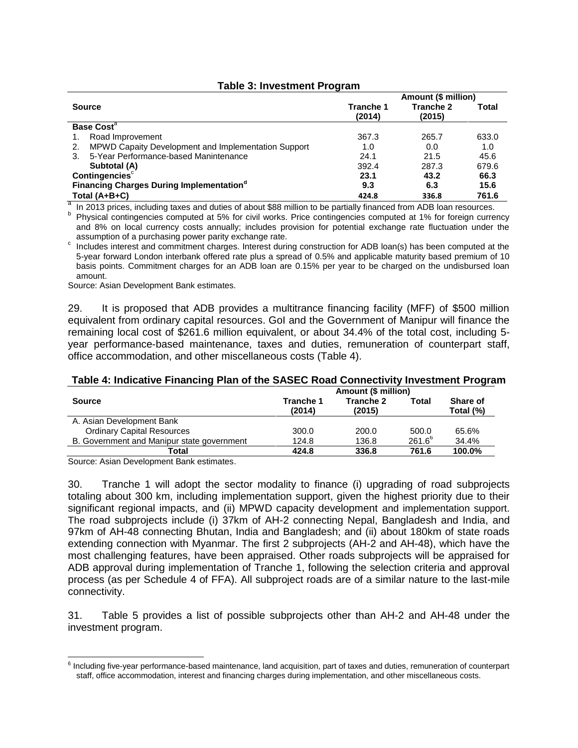### **Table 3: Investment Program**

|                                                            | Amount (\$ million)        |                     |       |
|------------------------------------------------------------|----------------------------|---------------------|-------|
| <b>Source</b>                                              | <b>Tranche 1</b><br>(2014) | Tranche 2<br>(2015) | Total |
| <b>Base Cost<sup>a</sup></b>                               |                            |                     |       |
| Road Improvement                                           | 367.3                      | 265.7               | 633.0 |
| MPWD Capaity Development and Implementation Support<br>2.  | 1.0                        | 0.0                 | 1.0   |
| 5-Year Performance-based Manintenance<br>3.                | 24.1                       | 21.5                | 45.6  |
| Subtotal (A)                                               | 392.4                      | 287.3               | 679.6 |
| Contingencies <sup>c</sup>                                 | 23.1                       | 43.2                | 66.3  |
| <b>Financing Charges During Implementation<sup>d</sup></b> | 9.3                        | 6.3                 | 15.6  |
| Total (A+B+C)                                              | 424.8                      | 336.8               | 761.6 |

<sup>a</sup> In 2013 prices, including taxes and duties of about \$88 million to be partially financed from ADB loan resources.

<sup>b</sup> Physical contingencies computed at 5% for civil works. Price contingencies computed at 1% for foreign currency and 8% on local currency costs annually; includes provision for potential exchange rate fluctuation under the assumption of a purchasing power parity exchange rate.

c Includes interest and commitment charges. Interest during construction for ADB loan(s) has been computed at the 5-year forward London interbank offered rate plus a spread of 0.5% and applicable maturity based premium of 10 basis points. Commitment charges for an ADB loan are 0.15% per year to be charged on the undisbursed loan amount.

Source: Asian Development Bank estimates.

29. It is proposed that ADB provides a multitrance financing facility (MFF) of \$500 million equivalent from ordinary capital resources. GoI and the Government of Manipur will finance the remaining local cost of \$261.6 million equivalent, or about 34.4% of the total cost, including 5 year performance-based maintenance, taxes and duties, remuneration of counterpart staff, office accommodation, and other miscellaneous costs (Table 4).

### **Table 4: Indicative Financing Plan of the SASEC Road Connectivity Investment Program**

| ້                                          | $\tilde{\phantom{a}}$<br>Amount (\$ million) |                     |             |                       |
|--------------------------------------------|----------------------------------------------|---------------------|-------------|-----------------------|
| <b>Source</b>                              | <b>Tranche 1</b><br>(2014)                   | Tranche 2<br>(2015) | Total       | Share of<br>Total (%) |
| A. Asian Development Bank                  |                                              |                     |             |                       |
| <b>Ordinary Capital Resources</b>          | 300.0                                        | 200.0               | 500.0       | 65.6%                 |
| B. Government and Manipur state government | 124.8                                        | 136.8               | $261.6^{6}$ | 34.4%                 |
| Total                                      | 424.8                                        | 336.8               | 761.6       | 100.0%                |

Source: Asian Development Bank estimates.

30. Tranche 1 will adopt the sector modality to finance (i) upgrading of road subprojects totaling about 300 km, including implementation support, given the highest priority due to their significant regional impacts, and (ii) MPWD capacity development and implementation support. The road subprojects include (i) 37km of AH-2 connecting Nepal, Bangladesh and India, and 97km of AH-48 connecting Bhutan, India and Bangladesh; and (ii) about 180km of state roads extending connection with Myanmar. The first 2 subprojects (AH-2 and AH-48), which have the most challenging features, have been appraised. Other roads subprojects will be appraised for ADB approval during implementation of Tranche 1, following the selection criteria and approval process (as per Schedule 4 of FFA). All subproject roads are of a similar nature to the last-mile connectivity.

31. Table 5 provides a list of possible subprojects other than AH-2 and AH-48 under the investment program.

 6 Including five-year performance-based maintenance, land acquisition, part of taxes and duties, remuneration of counterpart staff, office accommodation, interest and financing charges during implementation, and other miscellaneous costs.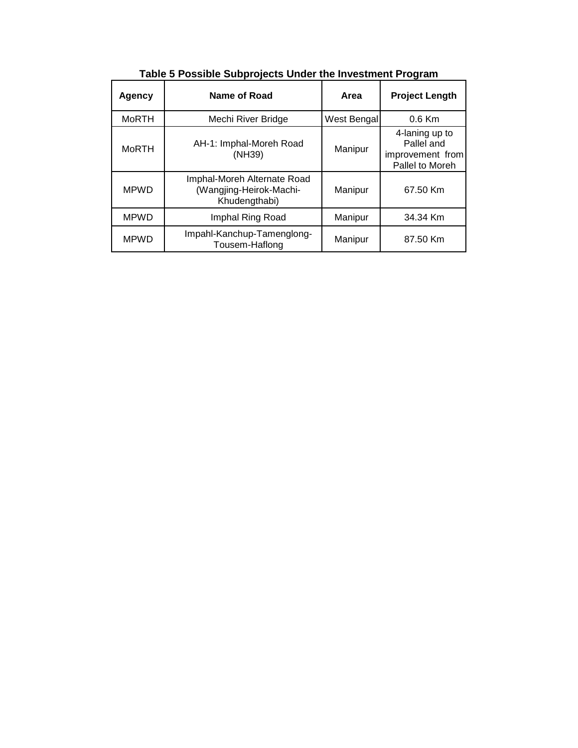| Agency       | Name of Road                                                            | Area        | <b>Project Length</b>                                               |
|--------------|-------------------------------------------------------------------------|-------------|---------------------------------------------------------------------|
| <b>MoRTH</b> | Mechi River Bridge                                                      | West Bengal | $0.6$ Km                                                            |
| MoRTH        | AH-1: Imphal-Moreh Road<br>(NH39)                                       | Manipur     | 4-laning up to<br>Pallel and<br>improvement from<br>Pallel to Moreh |
| <b>MPWD</b>  | Imphal-Moreh Alternate Road<br>(Wangjing-Heirok-Machi-<br>Khudengthabi) | Manipur     | 67.50 Km                                                            |
| <b>MPWD</b>  | Imphal Ring Road                                                        | Manipur     | 34.34 Km                                                            |
| <b>MPWD</b>  | Impahl-Kanchup-Tamenglong-<br>Tousem-Haflong                            | Manipur     | 87.50 Km                                                            |

**Table 5 Possible Subprojects Under the Investment Program**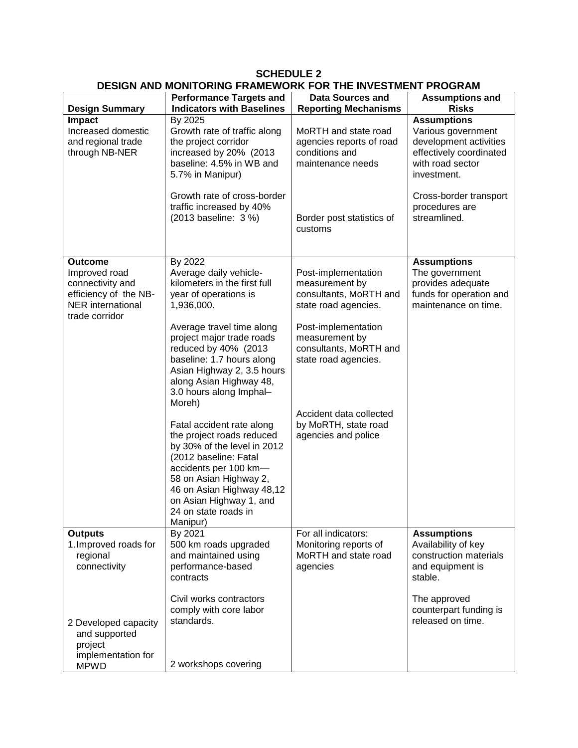| <b>DESIGN AND MONITORING FRAMEWORK FOR THE INVESTMENT PROGRAM</b>                                                          |                                                                                                                                                                                                                                                                                                             |                                                                                                                                                                                    |                                                                                                                                  |  |  |
|----------------------------------------------------------------------------------------------------------------------------|-------------------------------------------------------------------------------------------------------------------------------------------------------------------------------------------------------------------------------------------------------------------------------------------------------------|------------------------------------------------------------------------------------------------------------------------------------------------------------------------------------|----------------------------------------------------------------------------------------------------------------------------------|--|--|
| <b>Design Summary</b>                                                                                                      | <b>Performance Targets and</b><br><b>Indicators with Baselines</b>                                                                                                                                                                                                                                          | <b>Data Sources and</b><br><b>Reporting Mechanisms</b>                                                                                                                             | <b>Assumptions and</b><br><b>Risks</b>                                                                                           |  |  |
| <b>Impact</b><br>Increased domestic<br>and regional trade<br>through NB-NER                                                | By 2025<br>Growth rate of traffic along<br>the project corridor<br>increased by 20% (2013<br>baseline: 4.5% in WB and<br>5.7% in Manipur)                                                                                                                                                                   | MoRTH and state road<br>agencies reports of road<br>conditions and<br>maintenance needs                                                                                            | <b>Assumptions</b><br>Various government<br>development activities<br>effectively coordinated<br>with road sector<br>investment. |  |  |
|                                                                                                                            | Growth rate of cross-border<br>traffic increased by 40%<br>(2013 baseline: 3 %)                                                                                                                                                                                                                             | Border post statistics of<br>customs                                                                                                                                               | Cross-border transport<br>procedures are<br>streamlined.                                                                         |  |  |
| <b>Outcome</b><br>Improved road<br>connectivity and<br>efficiency of the NB-<br><b>NER</b> international<br>trade corridor | By 2022<br>Average daily vehicle-<br>kilometers in the first full<br>year of operations is<br>1,936,000.<br>Average travel time along<br>project major trade roads<br>reduced by 40% (2013<br>baseline: 1.7 hours along<br>Asian Highway 2, 3.5 hours<br>along Asian Highway 48,<br>3.0 hours along Imphal- | Post-implementation<br>measurement by<br>consultants, MoRTH and<br>state road agencies.<br>Post-implementation<br>measurement by<br>consultants, MoRTH and<br>state road agencies. | <b>Assumptions</b><br>The government<br>provides adequate<br>funds for operation and<br>maintenance on time.                     |  |  |
|                                                                                                                            | Moreh)<br>Fatal accident rate along<br>the project roads reduced<br>by 30% of the level in 2012<br>(2012 baseline: Fatal<br>accidents per 100 km-<br>58 on Asian Highway 2,<br>46 on Asian Highway 48,12<br>on Asian Highway 1, and<br>24 on state roads in<br>Manipur)                                     | Accident data collected<br>by MoRTH, state road<br>agencies and police                                                                                                             |                                                                                                                                  |  |  |
| <b>Outputs</b><br>1. Improved roads for<br>regional<br>connectivity                                                        | By 2021<br>500 km roads upgraded<br>and maintained using<br>performance-based<br>contracts                                                                                                                                                                                                                  | For all indicators:<br>Monitoring reports of<br>MoRTH and state road<br>agencies                                                                                                   | <b>Assumptions</b><br>Availability of key<br>construction materials<br>and equipment is<br>stable.                               |  |  |
| 2 Developed capacity<br>and supported<br>project<br>implementation for                                                     | Civil works contractors<br>comply with core labor<br>standards.                                                                                                                                                                                                                                             |                                                                                                                                                                                    | The approved<br>counterpart funding is<br>released on time.                                                                      |  |  |
| <b>MPWD</b>                                                                                                                | 2 workshops covering                                                                                                                                                                                                                                                                                        |                                                                                                                                                                                    |                                                                                                                                  |  |  |

**SCHEDULE 2**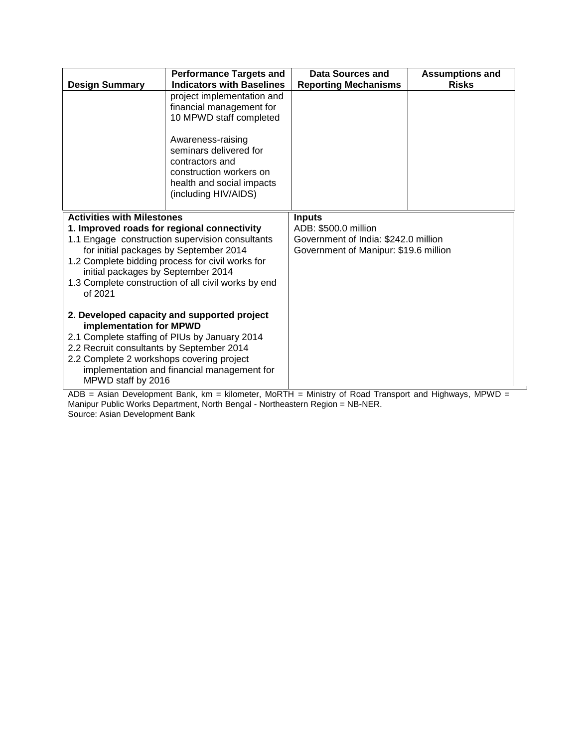| <b>Design Summary</b>                                                                    | <b>Performance Targets and</b><br><b>Indicators with Baselines</b>                                                                             | Data Sources and<br><b>Reporting Mechanisms</b>              | <b>Assumptions and</b><br><b>Risks</b> |  |
|------------------------------------------------------------------------------------------|------------------------------------------------------------------------------------------------------------------------------------------------|--------------------------------------------------------------|----------------------------------------|--|
|                                                                                          | project implementation and<br>financial management for<br>10 MPWD staff completed                                                              |                                                              |                                        |  |
|                                                                                          | Awareness-raising<br>seminars delivered for<br>contractors and<br>construction workers on<br>health and social impacts<br>(including HIV/AIDS) |                                                              |                                        |  |
| <b>Activities with Milestones</b>                                                        |                                                                                                                                                | <b>Inputs</b>                                                |                                        |  |
|                                                                                          | 1. Improved roads for regional connectivity<br>1.1 Engage construction supervision consultants                                                 | ADB: \$500.0 million<br>Government of India: \$242.0 million |                                        |  |
|                                                                                          | for initial packages by September 2014                                                                                                         | Government of Manipur: \$19.6 million                        |                                        |  |
|                                                                                          | 1.2 Complete bidding process for civil works for                                                                                               |                                                              |                                        |  |
| initial packages by September 2014                                                       |                                                                                                                                                |                                                              |                                        |  |
|                                                                                          | 1.3 Complete construction of all civil works by end                                                                                            |                                                              |                                        |  |
| of 2021                                                                                  |                                                                                                                                                |                                                              |                                        |  |
| 2. Developed capacity and supported project<br>implementation for MPWD                   |                                                                                                                                                |                                                              |                                        |  |
| 2.1 Complete staffing of PIUs by January 2014                                            |                                                                                                                                                |                                                              |                                        |  |
| 2.2 Recruit consultants by September 2014                                                |                                                                                                                                                |                                                              |                                        |  |
| 2.2 Complete 2 workshops covering project<br>implementation and financial management for |                                                                                                                                                |                                                              |                                        |  |
| MPWD staff by 2016                                                                       |                                                                                                                                                |                                                              |                                        |  |
|                                                                                          | . <i>.</i>                                                                                                                                     | $\sim$ $\sim$                                                | <b>LAPPER</b>                          |  |

ADB = Asian Development Bank, km = kilometer, MoRTH = Ministry of Road Transport and Highways, MPWD = Manipur Public Works Department, North Bengal - Northeastern Region = NB-NER. Source: Asian Development Bank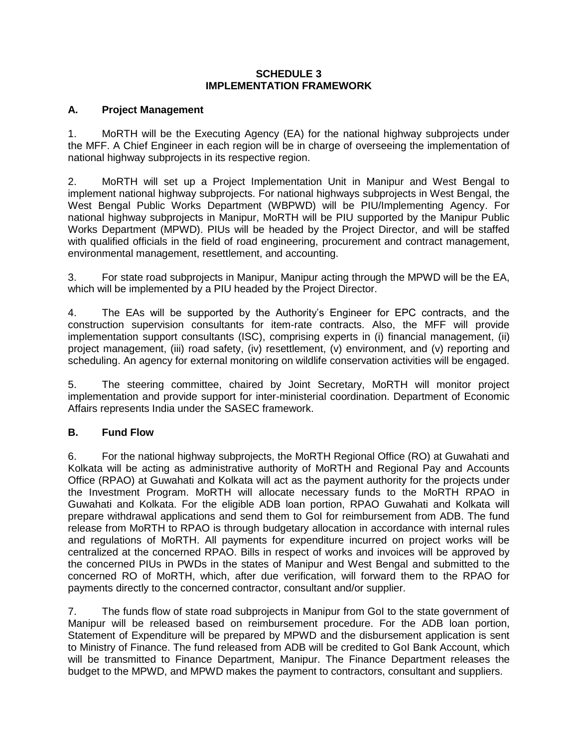## **SCHEDULE 3 IMPLEMENTATION FRAMEWORK**

## **A. Project Management**

1. MoRTH will be the Executing Agency (EA) for the national highway subprojects under the MFF. A Chief Engineer in each region will be in charge of overseeing the implementation of national highway subprojects in its respective region.

2. MoRTH will set up a Project Implementation Unit in Manipur and West Bengal to implement national highway subprojects. For national highways subprojects in West Bengal, the West Bengal Public Works Department (WBPWD) will be PIU/Implementing Agency. For national highway subprojects in Manipur, MoRTH will be PIU supported by the Manipur Public Works Department (MPWD). PIUs will be headed by the Project Director, and will be staffed with qualified officials in the field of road engineering, procurement and contract management, environmental management, resettlement, and accounting.

3. For state road subprojects in Manipur, Manipur acting through the MPWD will be the EA, which will be implemented by a PIU headed by the Project Director.

4. The EAs will be supported by the Authority's Engineer for EPC contracts, and the construction supervision consultants for item-rate contracts. Also, the MFF will provide implementation support consultants (ISC), comprising experts in (i) financial management, (ii) project management, (iii) road safety, (iv) resettlement, (v) environment, and (v) reporting and scheduling. An agency for external monitoring on wildlife conservation activities will be engaged.

5. The steering committee, chaired by Joint Secretary, MoRTH will monitor project implementation and provide support for inter-ministerial coordination. Department of Economic Affairs represents India under the SASEC framework.

## **B. Fund Flow**

6. For the national highway subprojects, the MoRTH Regional Office (RO) at Guwahati and Kolkata will be acting as administrative authority of MoRTH and Regional Pay and Accounts Office (RPAO) at Guwahati and Kolkata will act as the payment authority for the projects under the Investment Program. MoRTH will allocate necessary funds to the MoRTH RPAO in Guwahati and Kolkata. For the eligible ADB loan portion, RPAO Guwahati and Kolkata will prepare withdrawal applications and send them to GoI for reimbursement from ADB. The fund release from MoRTH to RPAO is through budgetary allocation in accordance with internal rules and regulations of MoRTH. All payments for expenditure incurred on project works will be centralized at the concerned RPAO. Bills in respect of works and invoices will be approved by the concerned PIUs in PWDs in the states of Manipur and West Bengal and submitted to the concerned RO of MoRTH, which, after due verification, will forward them to the RPAO for payments directly to the concerned contractor, consultant and/or supplier.

7. The funds flow of state road subprojects in Manipur from GoI to the state government of Manipur will be released based on reimbursement procedure. For the ADB loan portion, Statement of Expenditure will be prepared by MPWD and the disbursement application is sent to Ministry of Finance. The fund released from ADB will be credited to GoI Bank Account, which will be transmitted to Finance Department, Manipur. The Finance Department releases the budget to the MPWD, and MPWD makes the payment to contractors, consultant and suppliers.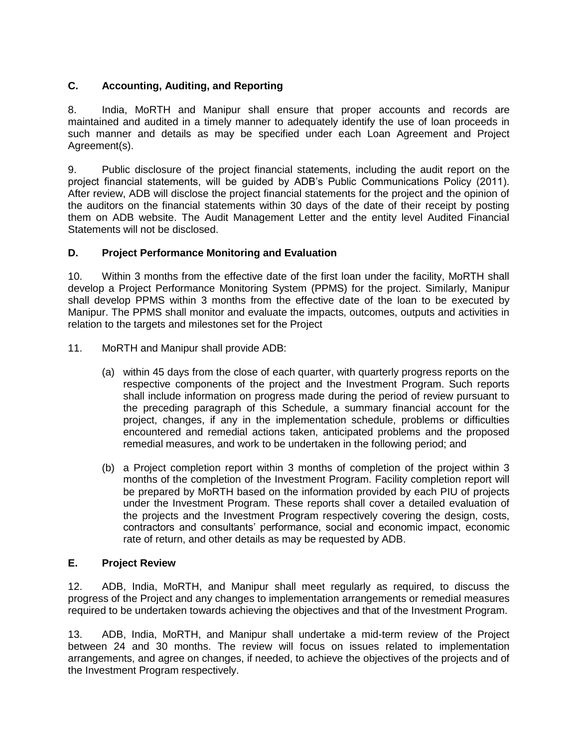# **C. Accounting, Auditing, and Reporting**

8. India, MoRTH and Manipur shall ensure that proper accounts and records are maintained and audited in a timely manner to adequately identify the use of loan proceeds in such manner and details as may be specified under each Loan Agreement and Project Agreement(s).

9. Public disclosure of the project financial statements, including the audit report on the project financial statements, will be guided by ADB's Public Communications Policy (2011). After review, ADB will disclose the project financial statements for the project and the opinion of the auditors on the financial statements within 30 days of the date of their receipt by posting them on ADB website. The Audit Management Letter and the entity level Audited Financial Statements will not be disclosed.

## **D. Project Performance Monitoring and Evaluation**

10. Within 3 months from the effective date of the first loan under the facility, MoRTH shall develop a Project Performance Monitoring System (PPMS) for the project. Similarly, Manipur shall develop PPMS within 3 months from the effective date of the loan to be executed by Manipur. The PPMS shall monitor and evaluate the impacts, outcomes, outputs and activities in relation to the targets and milestones set for the Project

- 11. MoRTH and Manipur shall provide ADB:
	- (a) within 45 days from the close of each quarter, with quarterly progress reports on the respective components of the project and the Investment Program. Such reports shall include information on progress made during the period of review pursuant to the preceding paragraph of this Schedule, a summary financial account for the project, changes, if any in the implementation schedule, problems or difficulties encountered and remedial actions taken, anticipated problems and the proposed remedial measures, and work to be undertaken in the following period; and
	- (b) a Project completion report within 3 months of completion of the project within 3 months of the completion of the Investment Program. Facility completion report will be prepared by MoRTH based on the information provided by each PIU of projects under the Investment Program. These reports shall cover a detailed evaluation of the projects and the Investment Program respectively covering the design, costs, contractors and consultants' performance, social and economic impact, economic rate of return, and other details as may be requested by ADB.

## **E. Project Review**

12. ADB, India, MoRTH, and Manipur shall meet regularly as required, to discuss the progress of the Project and any changes to implementation arrangements or remedial measures required to be undertaken towards achieving the objectives and that of the Investment Program.

13. ADB, India, MoRTH, and Manipur shall undertake a mid-term review of the Project between 24 and 30 months. The review will focus on issues related to implementation arrangements, and agree on changes, if needed, to achieve the objectives of the projects and of the Investment Program respectively.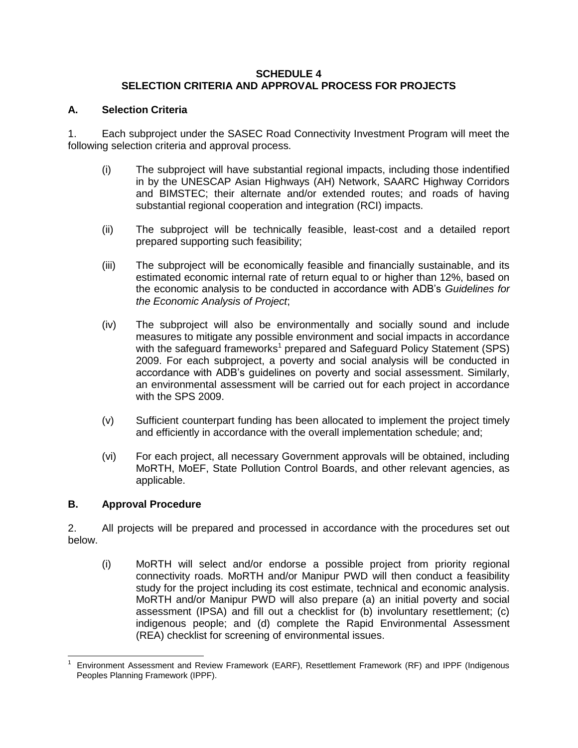## **SCHEDULE 4 SELECTION CRITERIA AND APPROVAL PROCESS FOR PROJECTS**

## **A. Selection Criteria**

1. Each subproject under the SASEC Road Connectivity Investment Program will meet the following selection criteria and approval process.

- (i) The subproject will have substantial regional impacts, including those indentified in by the UNESCAP Asian Highways (AH) Network, SAARC Highway Corridors and BIMSTEC; their alternate and/or extended routes; and roads of having substantial regional cooperation and integration (RCI) impacts.
- (ii) The subproject will be technically feasible, least-cost and a detailed report prepared supporting such feasibility;
- (iii) The subproject will be economically feasible and financially sustainable, and its estimated economic internal rate of return equal to or higher than 12%, based on the economic analysis to be conducted in accordance with ADB's *Guidelines for the Economic Analysis of Project*;
- (iv) The subproject will also be environmentally and socially sound and include measures to mitigate any possible environment and social impacts in accordance with the safeguard frameworks<sup>1</sup> prepared and Safeguard Policy Statement (SPS) 2009. For each subproject, a poverty and social analysis will be conducted in accordance with ADB's guidelines on poverty and social assessment. Similarly, an environmental assessment will be carried out for each project in accordance with the SPS 2009.
- (v) Sufficient counterpart funding has been allocated to implement the project timely and efficiently in accordance with the overall implementation schedule; and;
- (vi) For each project, all necessary Government approvals will be obtained, including MoRTH, MoEF, State Pollution Control Boards, and other relevant agencies, as applicable.

# **B. Approval Procedure**

2. All projects will be prepared and processed in accordance with the procedures set out below.

(i) MoRTH will select and/or endorse a possible project from priority regional connectivity roads. MoRTH and/or Manipur PWD will then conduct a feasibility study for the project including its cost estimate, technical and economic analysis. MoRTH and/or Manipur PWD will also prepare (a) an initial poverty and social assessment (IPSA) and fill out a checklist for (b) involuntary resettlement; (c) indigenous people; and (d) complete the Rapid Environmental Assessment (REA) checklist for screening of environmental issues.

 $\overline{a}$ 1 Environment Assessment and Review Framework (EARF), Resettlement Framework (RF) and IPPF (Indigenous Peoples Planning Framework (IPPF).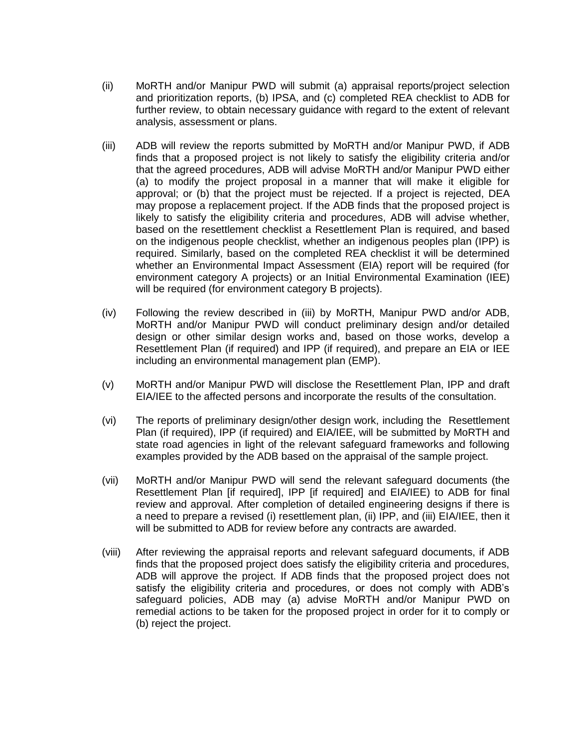- (ii) MoRTH and/or Manipur PWD will submit (a) appraisal reports/project selection and prioritization reports, (b) IPSA, and (c) completed REA checklist to ADB for further review, to obtain necessary guidance with regard to the extent of relevant analysis, assessment or plans.
- (iii) ADB will review the reports submitted by MoRTH and/or Manipur PWD, if ADB finds that a proposed project is not likely to satisfy the eligibility criteria and/or that the agreed procedures, ADB will advise MoRTH and/or Manipur PWD either (a) to modify the project proposal in a manner that will make it eligible for approval; or (b) that the project must be rejected. If a project is rejected, DEA may propose a replacement project. If the ADB finds that the proposed project is likely to satisfy the eligibility criteria and procedures, ADB will advise whether, based on the resettlement checklist a Resettlement Plan is required, and based on the indigenous people checklist, whether an indigenous peoples plan (IPP) is required. Similarly, based on the completed REA checklist it will be determined whether an Environmental Impact Assessment (EIA) report will be required (for environment category A projects) or an Initial Environmental Examination (IEE) will be required (for environment category B projects).
- (iv) Following the review described in (iii) by MoRTH, Manipur PWD and/or ADB, MoRTH and/or Manipur PWD will conduct preliminary design and/or detailed design or other similar design works and, based on those works, develop a Resettlement Plan (if required) and IPP (if required), and prepare an EIA or IEE including an environmental management plan (EMP).
- (v) MoRTH and/or Manipur PWD will disclose the Resettlement Plan, IPP and draft EIA/IEE to the affected persons and incorporate the results of the consultation.
- (vi) The reports of preliminary design/other design work, including the Resettlement Plan (if required), IPP (if required) and EIA/IEE, will be submitted by MoRTH and state road agencies in light of the relevant safeguard frameworks and following examples provided by the ADB based on the appraisal of the sample project.
- (vii) MoRTH and/or Manipur PWD will send the relevant safeguard documents (the Resettlement Plan [if required], IPP [if required] and EIA/IEE) to ADB for final review and approval. After completion of detailed engineering designs if there is a need to prepare a revised (i) resettlement plan, (ii) IPP, and (iii) EIA/IEE, then it will be submitted to ADB for review before any contracts are awarded.
- (viii) After reviewing the appraisal reports and relevant safeguard documents, if ADB finds that the proposed project does satisfy the eligibility criteria and procedures, ADB will approve the project. If ADB finds that the proposed project does not satisfy the eligibility criteria and procedures, or does not comply with ADB's safeguard policies, ADB may (a) advise MoRTH and/or Manipur PWD on remedial actions to be taken for the proposed project in order for it to comply or (b) reject the project.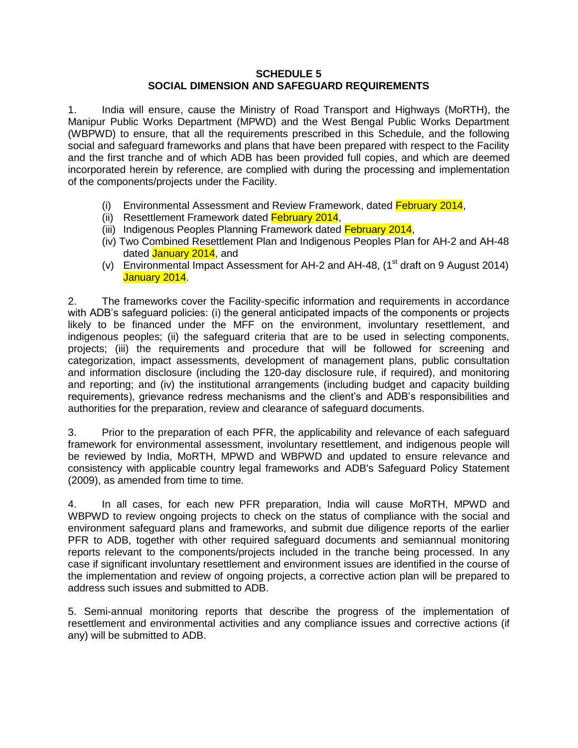### **SCHEDULE 5 SOCIAL DIMENSION AND SAFEGUARD REQUIREMENTS**

1. India will ensure, cause the Ministry of Road Transport and Highways (MoRTH), the Manipur Public Works Department (MPWD) and the West Bengal Public Works Department (WBPWD) to ensure, that all the requirements prescribed in this Schedule, and the following social and safeguard frameworks and plans that have been prepared with respect to the Facility and the first tranche and of which ADB has been provided full copies, and which are deemed incorporated herein by reference, are complied with during the processing and implementation of the components/projects under the Facility.

- (i) Environmental Assessment and Review Framework, dated February 2014,
- (ii) Resettlement Framework dated February 2014,
- (iii) Indigenous Peoples Planning Framework dated February 2014,
- (iv) Two Combined Resettlement Plan and Indigenous Peoples Plan for AH-2 and AH-48 dated January 2014, and
- (v) Environmental Impact Assessment for AH-2 and AH-48,  $(1<sup>st</sup>$  draft on 9 August 2014) January 2014.

2. The frameworks cover the Facility-specific information and requirements in accordance with ADB's safeguard policies: (i) the general anticipated impacts of the components or projects likely to be financed under the MFF on the environment, involuntary resettlement, and indigenous peoples; (ii) the safeguard criteria that are to be used in selecting components, projects; (iii) the requirements and procedure that will be followed for screening and categorization, impact assessments, development of management plans, public consultation and information disclosure (including the 120-day disclosure rule, if required), and monitoring and reporting; and (iv) the institutional arrangements (including budget and capacity building requirements), grievance redress mechanisms and the client's and ADB's responsibilities and authorities for the preparation, review and clearance of safeguard documents.

3. Prior to the preparation of each PFR, the applicability and relevance of each safeguard framework for environmental assessment, involuntary resettlement, and indigenous people will be reviewed by India, MoRTH, MPWD and WBPWD and updated to ensure relevance and consistency with applicable country legal frameworks and ADB's Safeguard Policy Statement (2009), as amended from time to time.

4. In all cases, for each new PFR preparation, India will cause MoRTH, MPWD and WBPWD to review ongoing projects to check on the status of compliance with the social and environment safeguard plans and frameworks, and submit due diligence reports of the earlier PFR to ADB, together with other required safeguard documents and semiannual monitoring reports relevant to the components/projects included in the tranche being processed. In any case if significant involuntary resettlement and environment issues are identified in the course of the implementation and review of ongoing projects, a corrective action plan will be prepared to address such issues and submitted to ADB.

5. Semi-annual monitoring reports that describe the progress of the implementation of resettlement and environmental activities and any compliance issues and corrective actions (if any) will be submitted to ADB.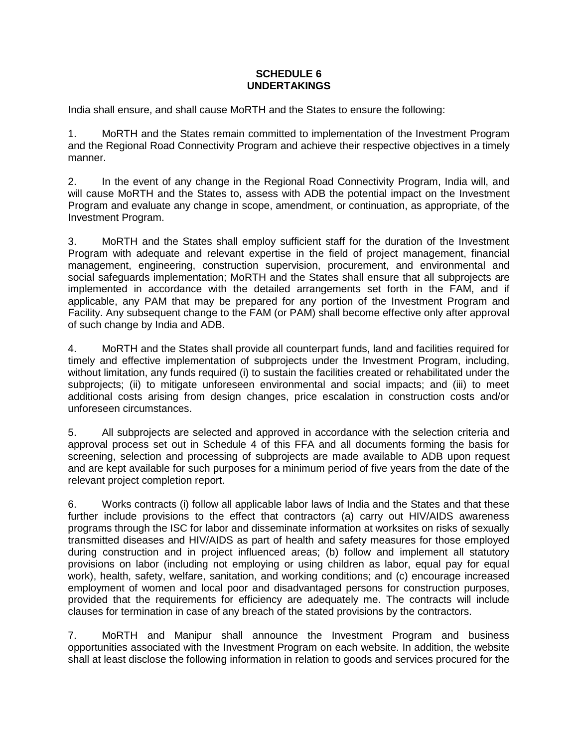### **SCHEDULE 6 UNDERTAKINGS**

India shall ensure, and shall cause MoRTH and the States to ensure the following:

1. MoRTH and the States remain committed to implementation of the Investment Program and the Regional Road Connectivity Program and achieve their respective objectives in a timely manner.

2. In the event of any change in the Regional Road Connectivity Program, India will, and will cause MoRTH and the States to, assess with ADB the potential impact on the Investment Program and evaluate any change in scope, amendment, or continuation, as appropriate, of the Investment Program.

3. MoRTH and the States shall employ sufficient staff for the duration of the Investment Program with adequate and relevant expertise in the field of project management, financial management, engineering, construction supervision, procurement, and environmental and social safeguards implementation; MoRTH and the States shall ensure that all subprojects are implemented in accordance with the detailed arrangements set forth in the FAM, and if applicable, any PAM that may be prepared for any portion of the Investment Program and Facility. Any subsequent change to the FAM (or PAM) shall become effective only after approval of such change by India and ADB.

4. MoRTH and the States shall provide all counterpart funds, land and facilities required for timely and effective implementation of subprojects under the Investment Program, including, without limitation, any funds required (i) to sustain the facilities created or rehabilitated under the subprojects; (ii) to mitigate unforeseen environmental and social impacts; and (iii) to meet additional costs arising from design changes, price escalation in construction costs and/or unforeseen circumstances.

5. All subprojects are selected and approved in accordance with the selection criteria and approval process set out in Schedule 4 of this FFA and all documents forming the basis for screening, selection and processing of subprojects are made available to ADB upon request and are kept available for such purposes for a minimum period of five years from the date of the relevant project completion report.

6. Works contracts (i) follow all applicable labor laws of India and the States and that these further include provisions to the effect that contractors (a) carry out HIV/AIDS awareness programs through the ISC for labor and disseminate information at worksites on risks of sexually transmitted diseases and HIV/AIDS as part of health and safety measures for those employed during construction and in project influenced areas; (b) follow and implement all statutory provisions on labor (including not employing or using children as labor, equal pay for equal work), health, safety, welfare, sanitation, and working conditions; and (c) encourage increased employment of women and local poor and disadvantaged persons for construction purposes, provided that the requirements for efficiency are adequately me. The contracts will include clauses for termination in case of any breach of the stated provisions by the contractors.

7. MoRTH and Manipur shall announce the Investment Program and business opportunities associated with the Investment Program on each website. In addition, the website shall at least disclose the following information in relation to goods and services procured for the